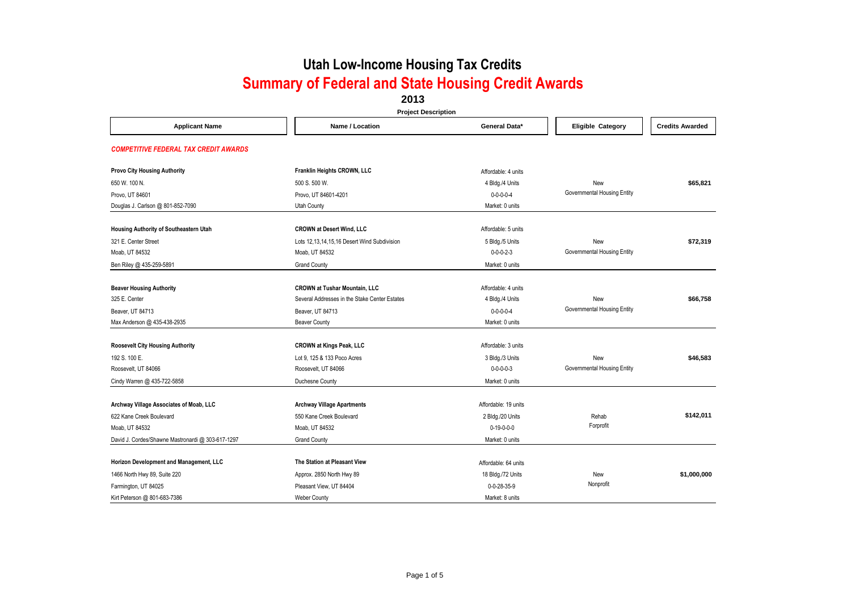|                                                   |                                               | <b>Project Description</b> |                             |                        |
|---------------------------------------------------|-----------------------------------------------|----------------------------|-----------------------------|------------------------|
| <b>Applicant Name</b>                             | Name / Location                               | General Data*              | <b>Eligible Category</b>    | <b>Credits Awarded</b> |
| <b>COMPETITIVE FEDERAL TAX CREDIT AWARDS</b>      |                                               |                            |                             |                        |
| <b>Provo City Housing Authority</b>               | Franklin Heights CROWN, LLC                   | Affordable: 4 units        |                             |                        |
| 650 W. 100 N.                                     | 500 S. 500 W.                                 | 4 Bldg./4 Units            | New                         | \$65,821               |
| Provo, UT 84601                                   | Provo, UT 84601-4201                          | $0 - 0 - 0 - 0 - 4$        | Governmental Housing Entity |                        |
| Douglas J. Carlson @ 801-852-7090                 | <b>Utah County</b>                            | Market: 0 units            |                             |                        |
| Housing Authority of Southeastern Utah            | <b>CROWN at Desert Wind, LLC</b>              | Affordable: 5 units        |                             |                        |
| 321 E. Center Street                              | Lots 12,13,14,15,16 Desert Wind Subdivision   | 5 Bldg./5 Units            | New                         | \$72,319               |
| Moab, UT 84532                                    | Moab, UT 84532                                | $0 - 0 - 0 - 2 - 3$        | Governmental Housing Entity |                        |
| Ben Riley @ 435-259-5891                          | <b>Grand County</b>                           | Market: 0 units            |                             |                        |
|                                                   |                                               |                            |                             |                        |
| <b>Beaver Housing Authority</b>                   | <b>CROWN at Tushar Mountain, LLC</b>          | Affordable: 4 units        |                             |                        |
| 325 E. Center                                     | Several Addresses in the Stake Center Estates | 4 Bldg./4 Units            | New                         | \$66,758               |
| Beaver, UT 84713                                  | Beaver, UT 84713                              | $0 - 0 - 0 - 0 - 4$        | Governmental Housing Entity |                        |
| Max Anderson @ 435-438-2935                       | <b>Beaver County</b>                          | Market: 0 units            |                             |                        |
|                                                   |                                               |                            |                             |                        |
| <b>Roosevelt City Housing Authority</b>           | <b>CROWN at Kings Peak, LLC</b>               | Affordable: 3 units        |                             |                        |
| 192 S. 100 E.                                     | Lot 9, 125 & 133 Poco Acres                   | 3 Bldg./3 Units            | New                         | \$46.583               |
| Roosevelt, UT 84066                               | Roosevelt, UT 84066                           | $0 - 0 - 0 - 3$            | Governmental Housing Entity |                        |
| Cindy Warren @ 435-722-5858                       | Duchesne County                               | Market: 0 units            |                             |                        |
|                                                   |                                               |                            |                             |                        |
| Archway Village Associates of Moab, LLC           | <b>Archway Village Apartments</b>             | Affordable: 19 units       |                             |                        |
| 622 Kane Creek Boulevard                          | 550 Kane Creek Boulevard                      | 2 Bldg./20 Units           | Rehab                       | \$142,011              |
| Moab, UT 84532                                    | Moab, UT 84532                                | $0-19-0-0-0$               | Forprofit                   |                        |
| David J. Cordes/Shawne Mastronardi @ 303-617-1297 | <b>Grand County</b>                           | Market: 0 units            |                             |                        |
| Horizon Development and Management, LLC           | The Station at Pleasant View                  | Affordable: 64 units       |                             |                        |
| 1466 North Hwy 89, Suite 220                      | Approx. 2850 North Hwy 89                     | 18 Bldg./72 Units          | New                         | \$1,000,000            |
| Farmington, UT 84025                              | Pleasant View, UT 84404                       | $0 - 0 - 28 - 35 - 9$      | Nonprofit                   |                        |
| Kirt Peterson @ 801-683-7386                      | <b>Weber County</b>                           | Market: 8 units            |                             |                        |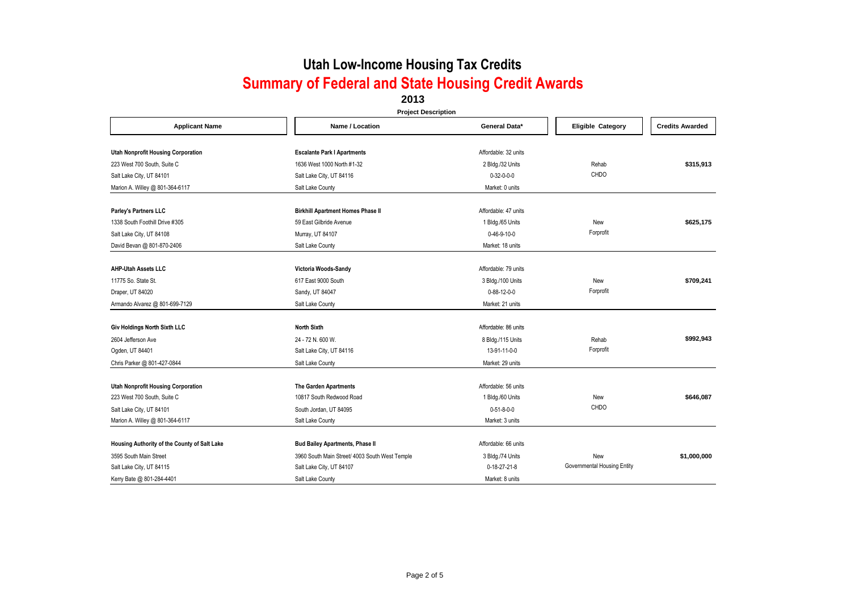|                                              | <b>Project Description</b>                     |                        |                             |                        |
|----------------------------------------------|------------------------------------------------|------------------------|-----------------------------|------------------------|
| <b>Applicant Name</b>                        | Name / Location                                | General Data*          | <b>Eligible Category</b>    | <b>Credits Awarded</b> |
|                                              |                                                |                        |                             |                        |
| <b>Utah Nonprofit Housing Corporation</b>    | <b>Escalante Park I Apartments</b>             | Affordable: 32 units   |                             |                        |
| 223 West 700 South, Suite C                  | 1636 West 1000 North #1-32                     | 2 Bldg./32 Units       | Rehab                       | \$315,913              |
| Salt Lake City, UT 84101                     | Salt Lake City, UT 84116                       | $0 - 32 - 0 - 0 - 0$   | CHDO                        |                        |
| Marion A. Willey @ 801-364-6117              | Salt Lake County                               | Market: 0 units        |                             |                        |
| Parley's Partners LLC                        | <b>Birkhill Apartment Homes Phase II</b>       | Affordable: 47 units   |                             |                        |
| 1338 South Foothill Drive #305               | 59 East Gilbride Avenue                        | 1 Bldg./65 Units       | New                         | \$625.175              |
| Salt Lake City, UT 84108                     | Murray, UT 84107                               | $0 - 46 - 9 - 10 - 0$  | Forprofit                   |                        |
| David Bevan @ 801-870-2406                   | Salt Lake County                               | Market: 18 units       |                             |                        |
|                                              |                                                |                        |                             |                        |
| <b>AHP-Utah Assets LLC</b>                   | Victoria Woods-Sandy                           | Affordable: 79 units   |                             |                        |
| 11775 So. State St.                          | 617 East 9000 South                            | 3 Bldg./100 Units      | New                         | \$709,241              |
| Draper, UT 84020                             | Sandy, UT 84047                                | $0 - 88 - 12 - 0 - 0$  | Forprofit                   |                        |
| Armando Alvarez @ 801-699-7129               | Salt Lake County                               | Market: 21 units       |                             |                        |
|                                              |                                                |                        |                             |                        |
| Giv Holdings North Sixth LLC                 | North Sixth                                    | Affordable: 86 units   |                             |                        |
| 2604 Jefferson Ave                           | 24 - 72 N. 600 W.                              | 8 Bldg./115 Units      | Rehab                       | \$992,943              |
| Ogden, UT 84401                              | Salt Lake City, UT 84116                       | 13-91-11-0-0           | Forprofit                   |                        |
| Chris Parker @ 801-427-0844                  | Salt Lake County                               | Market: 29 units       |                             |                        |
|                                              |                                                |                        |                             |                        |
| <b>Utah Nonprofit Housing Corporation</b>    | <b>The Garden Apartments</b>                   | Affordable: 56 units   |                             |                        |
| 223 West 700 South, Suite C                  | 10817 South Redwood Road                       | 1 Bldg./60 Units       | New                         | \$646,087              |
| Salt Lake City, UT 84101                     | South Jordan, UT 84095                         | $0 - 51 - 8 - 0 - 0$   | CHDO                        |                        |
| Marion A. Willey @ 801-364-6117              | Salt Lake County                               | Market: 3 units        |                             |                        |
|                                              |                                                |                        |                             |                        |
| Housing Authority of the County of Salt Lake | <b>Bud Bailey Apartments, Phase II</b>         | Affordable: 66 units   |                             |                        |
| 3595 South Main Street                       | 3960 South Main Street/ 4003 South West Temple | 3 Bldg./74 Units       | New                         | \$1,000,000            |
| Salt Lake City, UT 84115                     | Salt Lake City, UT 84107                       | $0 - 18 - 27 - 21 - 8$ | Governmental Housing Entity |                        |
| Kerry Bate @ 801-284-4401                    | Salt Lake County                               | Market: 8 units        |                             |                        |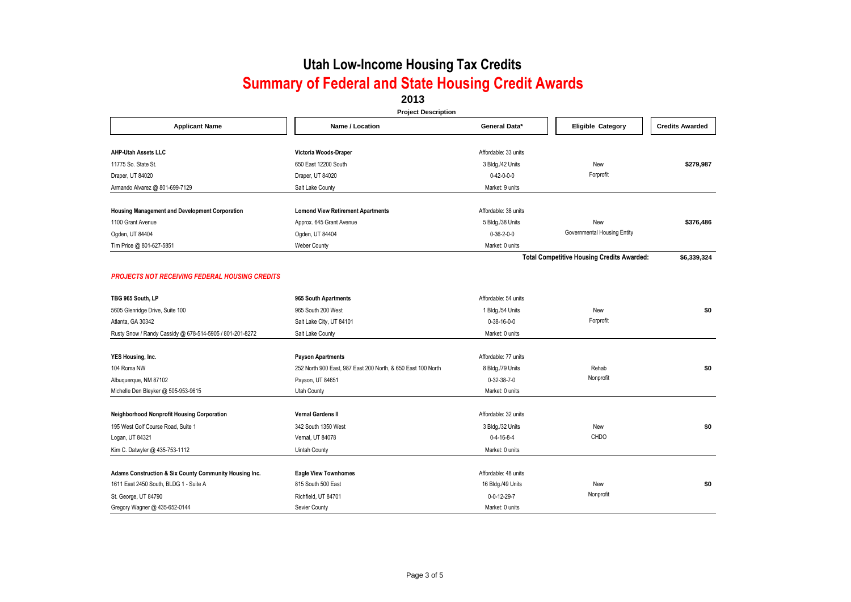| <b>Applicant Name</b><br>Name / Location<br>General Data*<br><b>Eligible Category</b><br><b>Credits Awarded</b><br><b>AHP-Utah Assets LLC</b><br>Victoria Woods-Draper<br>Affordable: 33 units<br>650 East 12200 South<br>3 Bldg./42 Units<br>11775 So. State St.<br>New<br>\$279,987<br>Forprofit<br>Draper, UT 84020<br>Draper, UT 84020<br>$0 - 42 - 0 - 0 - 0$<br>Armando Alvarez @ 801-699-7129<br>Salt Lake County<br>Market: 9 units<br>Housing Management and Development Corporation<br><b>Lomond View Retirement Apartments</b><br>Affordable: 38 units<br>1100 Grant Avenue<br>Approx. 645 Grant Avenue<br>5 Bldg./38 Units<br>\$376,486<br>New<br>Governmental Housing Entity<br>$0 - 36 - 2 - 0 - 0$<br>Ogden, UT 84404<br>Ogden, UT 84404<br>Weber County<br>Market: 0 units<br>Tim Price @ 801-627-5851<br><b>Total Competitive Housing Credits Awarded:</b><br>\$6,339,324<br><b>PROJECTS NOT RECEIVING FEDERAL HOUSING CREDITS</b><br>Affordable: 54 units<br>TBG 965 South, LP<br>965 South Apartments<br>965 South 200 West<br>1 Bldg./54 Units<br>5605 Glenridge Drive, Suite 100<br>\$0<br>New<br>Forprofit<br>Atlanta, GA 30342<br>Salt Lake City, UT 84101<br>$0 - 38 - 16 - 0 - 0$<br>Rusty Snow / Randy Cassidy @ 678-514-5905 / 801-201-8272<br>Salt Lake County<br>Market: 0 units<br>Affordable: 77 units<br>YES Housing, Inc.<br><b>Payson Apartments</b><br>104 Roma NW<br>252 North 900 East, 987 East 200 North, & 650 East 100 North<br>8 Bldg./79 Units<br>Rehab<br>\$0<br>Nonprofit<br>$0 - 32 - 38 - 7 - 0$<br>Albuquerque, NM 87102<br>Payson, UT 84651<br>Market: 0 units<br>Michelle Den Bleyker @ 505-953-9615<br>Utah County<br><b>Neighborhood Nonprofit Housing Corporation</b><br><b>Vernal Gardens II</b><br>Affordable: 32 units<br>195 West Golf Course Road, Suite 1<br>342 South 1350 West<br>3 Bldg./32 Units<br>\$0<br>New<br>CHDO<br>Logan, UT 84321<br>Vernal, UT 84078<br>$0-4-16-8-4$<br>Kim C. Datwyler @ 435-753-1112<br><b>Uintah County</b><br>Market: 0 units<br>Adams Construction & Six County Community Housing Inc.<br>Affordable: 48 units<br><b>Eagle View Townhomes</b><br>1611 East 2450 South, BLDG 1 - Suite A<br>815 South 500 East<br>\$0<br>16 Bldg./49 Units<br>New<br>Nonprofit<br>$0 - 0 - 12 - 29 - 7$<br>St. George, UT 84790<br>Richfield, UT 84701 | <b>Project Description</b>    |               |                 |  |  |
|------------------------------------------------------------------------------------------------------------------------------------------------------------------------------------------------------------------------------------------------------------------------------------------------------------------------------------------------------------------------------------------------------------------------------------------------------------------------------------------------------------------------------------------------------------------------------------------------------------------------------------------------------------------------------------------------------------------------------------------------------------------------------------------------------------------------------------------------------------------------------------------------------------------------------------------------------------------------------------------------------------------------------------------------------------------------------------------------------------------------------------------------------------------------------------------------------------------------------------------------------------------------------------------------------------------------------------------------------------------------------------------------------------------------------------------------------------------------------------------------------------------------------------------------------------------------------------------------------------------------------------------------------------------------------------------------------------------------------------------------------------------------------------------------------------------------------------------------------------------------------------------------------------------------------------------------------------------------------------------------------------------------------------------------------------------------------------------------------------------------------------------------------------------------------------------------------------------------------------------------------------------------------------------------------------------------------------|-------------------------------|---------------|-----------------|--|--|
|                                                                                                                                                                                                                                                                                                                                                                                                                                                                                                                                                                                                                                                                                                                                                                                                                                                                                                                                                                                                                                                                                                                                                                                                                                                                                                                                                                                                                                                                                                                                                                                                                                                                                                                                                                                                                                                                                                                                                                                                                                                                                                                                                                                                                                                                                                                                    |                               |               |                 |  |  |
|                                                                                                                                                                                                                                                                                                                                                                                                                                                                                                                                                                                                                                                                                                                                                                                                                                                                                                                                                                                                                                                                                                                                                                                                                                                                                                                                                                                                                                                                                                                                                                                                                                                                                                                                                                                                                                                                                                                                                                                                                                                                                                                                                                                                                                                                                                                                    |                               |               |                 |  |  |
|                                                                                                                                                                                                                                                                                                                                                                                                                                                                                                                                                                                                                                                                                                                                                                                                                                                                                                                                                                                                                                                                                                                                                                                                                                                                                                                                                                                                                                                                                                                                                                                                                                                                                                                                                                                                                                                                                                                                                                                                                                                                                                                                                                                                                                                                                                                                    |                               |               |                 |  |  |
|                                                                                                                                                                                                                                                                                                                                                                                                                                                                                                                                                                                                                                                                                                                                                                                                                                                                                                                                                                                                                                                                                                                                                                                                                                                                                                                                                                                                                                                                                                                                                                                                                                                                                                                                                                                                                                                                                                                                                                                                                                                                                                                                                                                                                                                                                                                                    |                               |               |                 |  |  |
|                                                                                                                                                                                                                                                                                                                                                                                                                                                                                                                                                                                                                                                                                                                                                                                                                                                                                                                                                                                                                                                                                                                                                                                                                                                                                                                                                                                                                                                                                                                                                                                                                                                                                                                                                                                                                                                                                                                                                                                                                                                                                                                                                                                                                                                                                                                                    |                               |               |                 |  |  |
|                                                                                                                                                                                                                                                                                                                                                                                                                                                                                                                                                                                                                                                                                                                                                                                                                                                                                                                                                                                                                                                                                                                                                                                                                                                                                                                                                                                                                                                                                                                                                                                                                                                                                                                                                                                                                                                                                                                                                                                                                                                                                                                                                                                                                                                                                                                                    |                               |               |                 |  |  |
|                                                                                                                                                                                                                                                                                                                                                                                                                                                                                                                                                                                                                                                                                                                                                                                                                                                                                                                                                                                                                                                                                                                                                                                                                                                                                                                                                                                                                                                                                                                                                                                                                                                                                                                                                                                                                                                                                                                                                                                                                                                                                                                                                                                                                                                                                                                                    |                               |               |                 |  |  |
|                                                                                                                                                                                                                                                                                                                                                                                                                                                                                                                                                                                                                                                                                                                                                                                                                                                                                                                                                                                                                                                                                                                                                                                                                                                                                                                                                                                                                                                                                                                                                                                                                                                                                                                                                                                                                                                                                                                                                                                                                                                                                                                                                                                                                                                                                                                                    |                               |               |                 |  |  |
|                                                                                                                                                                                                                                                                                                                                                                                                                                                                                                                                                                                                                                                                                                                                                                                                                                                                                                                                                                                                                                                                                                                                                                                                                                                                                                                                                                                                                                                                                                                                                                                                                                                                                                                                                                                                                                                                                                                                                                                                                                                                                                                                                                                                                                                                                                                                    |                               |               |                 |  |  |
|                                                                                                                                                                                                                                                                                                                                                                                                                                                                                                                                                                                                                                                                                                                                                                                                                                                                                                                                                                                                                                                                                                                                                                                                                                                                                                                                                                                                                                                                                                                                                                                                                                                                                                                                                                                                                                                                                                                                                                                                                                                                                                                                                                                                                                                                                                                                    |                               |               |                 |  |  |
|                                                                                                                                                                                                                                                                                                                                                                                                                                                                                                                                                                                                                                                                                                                                                                                                                                                                                                                                                                                                                                                                                                                                                                                                                                                                                                                                                                                                                                                                                                                                                                                                                                                                                                                                                                                                                                                                                                                                                                                                                                                                                                                                                                                                                                                                                                                                    |                               |               |                 |  |  |
|                                                                                                                                                                                                                                                                                                                                                                                                                                                                                                                                                                                                                                                                                                                                                                                                                                                                                                                                                                                                                                                                                                                                                                                                                                                                                                                                                                                                                                                                                                                                                                                                                                                                                                                                                                                                                                                                                                                                                                                                                                                                                                                                                                                                                                                                                                                                    |                               |               |                 |  |  |
|                                                                                                                                                                                                                                                                                                                                                                                                                                                                                                                                                                                                                                                                                                                                                                                                                                                                                                                                                                                                                                                                                                                                                                                                                                                                                                                                                                                                                                                                                                                                                                                                                                                                                                                                                                                                                                                                                                                                                                                                                                                                                                                                                                                                                                                                                                                                    |                               |               |                 |  |  |
|                                                                                                                                                                                                                                                                                                                                                                                                                                                                                                                                                                                                                                                                                                                                                                                                                                                                                                                                                                                                                                                                                                                                                                                                                                                                                                                                                                                                                                                                                                                                                                                                                                                                                                                                                                                                                                                                                                                                                                                                                                                                                                                                                                                                                                                                                                                                    |                               |               |                 |  |  |
|                                                                                                                                                                                                                                                                                                                                                                                                                                                                                                                                                                                                                                                                                                                                                                                                                                                                                                                                                                                                                                                                                                                                                                                                                                                                                                                                                                                                                                                                                                                                                                                                                                                                                                                                                                                                                                                                                                                                                                                                                                                                                                                                                                                                                                                                                                                                    |                               |               |                 |  |  |
|                                                                                                                                                                                                                                                                                                                                                                                                                                                                                                                                                                                                                                                                                                                                                                                                                                                                                                                                                                                                                                                                                                                                                                                                                                                                                                                                                                                                                                                                                                                                                                                                                                                                                                                                                                                                                                                                                                                                                                                                                                                                                                                                                                                                                                                                                                                                    |                               |               |                 |  |  |
|                                                                                                                                                                                                                                                                                                                                                                                                                                                                                                                                                                                                                                                                                                                                                                                                                                                                                                                                                                                                                                                                                                                                                                                                                                                                                                                                                                                                                                                                                                                                                                                                                                                                                                                                                                                                                                                                                                                                                                                                                                                                                                                                                                                                                                                                                                                                    |                               |               |                 |  |  |
|                                                                                                                                                                                                                                                                                                                                                                                                                                                                                                                                                                                                                                                                                                                                                                                                                                                                                                                                                                                                                                                                                                                                                                                                                                                                                                                                                                                                                                                                                                                                                                                                                                                                                                                                                                                                                                                                                                                                                                                                                                                                                                                                                                                                                                                                                                                                    |                               |               |                 |  |  |
|                                                                                                                                                                                                                                                                                                                                                                                                                                                                                                                                                                                                                                                                                                                                                                                                                                                                                                                                                                                                                                                                                                                                                                                                                                                                                                                                                                                                                                                                                                                                                                                                                                                                                                                                                                                                                                                                                                                                                                                                                                                                                                                                                                                                                                                                                                                                    |                               |               |                 |  |  |
|                                                                                                                                                                                                                                                                                                                                                                                                                                                                                                                                                                                                                                                                                                                                                                                                                                                                                                                                                                                                                                                                                                                                                                                                                                                                                                                                                                                                                                                                                                                                                                                                                                                                                                                                                                                                                                                                                                                                                                                                                                                                                                                                                                                                                                                                                                                                    |                               |               |                 |  |  |
|                                                                                                                                                                                                                                                                                                                                                                                                                                                                                                                                                                                                                                                                                                                                                                                                                                                                                                                                                                                                                                                                                                                                                                                                                                                                                                                                                                                                                                                                                                                                                                                                                                                                                                                                                                                                                                                                                                                                                                                                                                                                                                                                                                                                                                                                                                                                    |                               |               |                 |  |  |
|                                                                                                                                                                                                                                                                                                                                                                                                                                                                                                                                                                                                                                                                                                                                                                                                                                                                                                                                                                                                                                                                                                                                                                                                                                                                                                                                                                                                                                                                                                                                                                                                                                                                                                                                                                                                                                                                                                                                                                                                                                                                                                                                                                                                                                                                                                                                    |                               |               |                 |  |  |
|                                                                                                                                                                                                                                                                                                                                                                                                                                                                                                                                                                                                                                                                                                                                                                                                                                                                                                                                                                                                                                                                                                                                                                                                                                                                                                                                                                                                                                                                                                                                                                                                                                                                                                                                                                                                                                                                                                                                                                                                                                                                                                                                                                                                                                                                                                                                    |                               |               |                 |  |  |
|                                                                                                                                                                                                                                                                                                                                                                                                                                                                                                                                                                                                                                                                                                                                                                                                                                                                                                                                                                                                                                                                                                                                                                                                                                                                                                                                                                                                                                                                                                                                                                                                                                                                                                                                                                                                                                                                                                                                                                                                                                                                                                                                                                                                                                                                                                                                    |                               |               |                 |  |  |
|                                                                                                                                                                                                                                                                                                                                                                                                                                                                                                                                                                                                                                                                                                                                                                                                                                                                                                                                                                                                                                                                                                                                                                                                                                                                                                                                                                                                                                                                                                                                                                                                                                                                                                                                                                                                                                                                                                                                                                                                                                                                                                                                                                                                                                                                                                                                    |                               |               |                 |  |  |
|                                                                                                                                                                                                                                                                                                                                                                                                                                                                                                                                                                                                                                                                                                                                                                                                                                                                                                                                                                                                                                                                                                                                                                                                                                                                                                                                                                                                                                                                                                                                                                                                                                                                                                                                                                                                                                                                                                                                                                                                                                                                                                                                                                                                                                                                                                                                    |                               |               |                 |  |  |
|                                                                                                                                                                                                                                                                                                                                                                                                                                                                                                                                                                                                                                                                                                                                                                                                                                                                                                                                                                                                                                                                                                                                                                                                                                                                                                                                                                                                                                                                                                                                                                                                                                                                                                                                                                                                                                                                                                                                                                                                                                                                                                                                                                                                                                                                                                                                    |                               |               |                 |  |  |
|                                                                                                                                                                                                                                                                                                                                                                                                                                                                                                                                                                                                                                                                                                                                                                                                                                                                                                                                                                                                                                                                                                                                                                                                                                                                                                                                                                                                                                                                                                                                                                                                                                                                                                                                                                                                                                                                                                                                                                                                                                                                                                                                                                                                                                                                                                                                    |                               |               |                 |  |  |
|                                                                                                                                                                                                                                                                                                                                                                                                                                                                                                                                                                                                                                                                                                                                                                                                                                                                                                                                                                                                                                                                                                                                                                                                                                                                                                                                                                                                                                                                                                                                                                                                                                                                                                                                                                                                                                                                                                                                                                                                                                                                                                                                                                                                                                                                                                                                    |                               |               |                 |  |  |
|                                                                                                                                                                                                                                                                                                                                                                                                                                                                                                                                                                                                                                                                                                                                                                                                                                                                                                                                                                                                                                                                                                                                                                                                                                                                                                                                                                                                                                                                                                                                                                                                                                                                                                                                                                                                                                                                                                                                                                                                                                                                                                                                                                                                                                                                                                                                    | Gregory Wagner @ 435-652-0144 | Sevier County | Market: 0 units |  |  |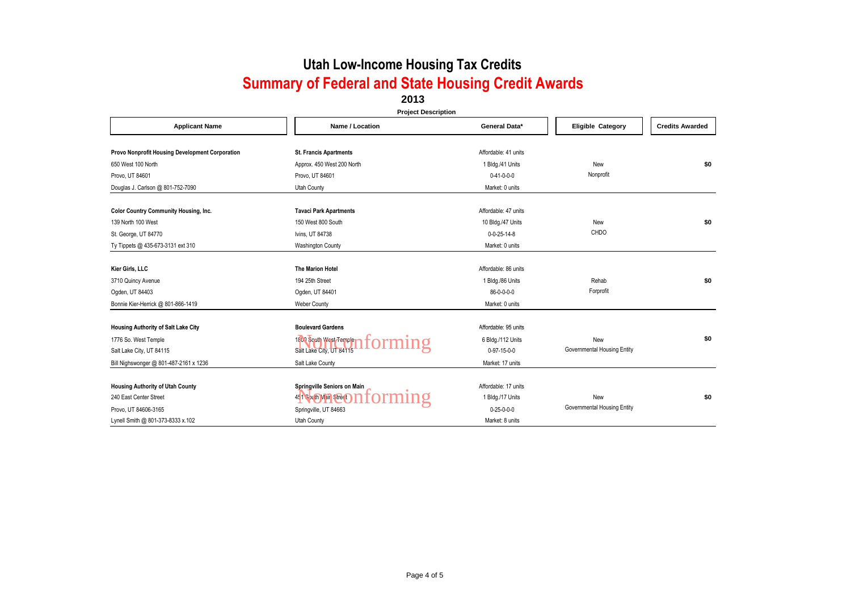| <b>Project Description</b>                      |                                |                       |                             |                        |
|-------------------------------------------------|--------------------------------|-----------------------|-----------------------------|------------------------|
| <b>Applicant Name</b>                           | Name / Location                | General Data*         | <b>Eligible Category</b>    | <b>Credits Awarded</b> |
| Provo Nonprofit Housing Development Corporation | <b>St. Francis Apartments</b>  | Affordable: 41 units  |                             |                        |
| 650 West 100 North                              | Approx. 450 West 200 North     | 1 Bldg./41 Units      | New                         | \$0                    |
| Provo, UT 84601                                 | Provo, UT 84601                | $0 - 41 - 0 - 0 - 0$  | Nonprofit                   |                        |
| Douglas J. Carlson @ 801-752-7090               | Utah County                    | Market: 0 units       |                             |                        |
| <b>Color Country Community Housing, Inc.</b>    | <b>Tavaci Park Apartments</b>  | Affordable: 47 units  |                             |                        |
| 139 North 100 West                              | 150 West 800 South             | 10 Bldg./47 Units     | New                         | \$0                    |
| St. George, UT 84770                            | Ivins, UT 84738                | $0 - 0 - 25 - 14 - 8$ | CHDO                        |                        |
| Ty Tippets @ 435-673-3131 ext 310               | <b>Washington County</b>       | Market: 0 units       |                             |                        |
| Kier Girls, LLC                                 | <b>The Marion Hotel</b>        | Affordable: 86 units  |                             |                        |
| 3710 Quincy Avenue                              | 194 25th Street                | 1 Bldg./86 Units      | Rehab                       | \$0                    |
| Ogden, UT 84403                                 | Ogden, UT 84401                | 86-0-0-0-0            | Forprofit                   |                        |
| Bonnie Kier-Herrick @ 801-866-1419              | <b>Weber County</b>            | Market: 0 units       |                             |                        |
| Housing Authority of Salt Lake City             | <b>Boulevard Gardens</b>       | Affordable: 95 units  |                             |                        |
| 1776 So. West Temple                            | 1800 Squth West Templen torm1n | 6 Bldg./112 Units     | New                         | \$0                    |
| Salt Lake City, UT 84115                        | Salt Lake City, UT 84115       | $0 - 97 - 15 - 0 - 0$ | Governmental Housing Entity |                        |
| Bill Nighswonger @ 801-487-2161 x 1236          | Salt Lake County               | Market: 17 units      |                             |                        |
| <b>Housing Authority of Utah County</b>         | Springville Seniors on Main    | Affordable: 17 units  |                             |                        |
| 240 East Center Street                          | 451 SOUTH STROU                | 1 Bldg./17 Units      | New                         | \$0                    |
| Provo, UT 84606-3165                            | Springville, UT 84663          | $0 - 25 - 0 - 0 - 0$  | Governmental Housing Entity |                        |
| Lynell Smith @ 801-373-8333 x.102               | Utah County                    | Market: 8 units       |                             |                        |